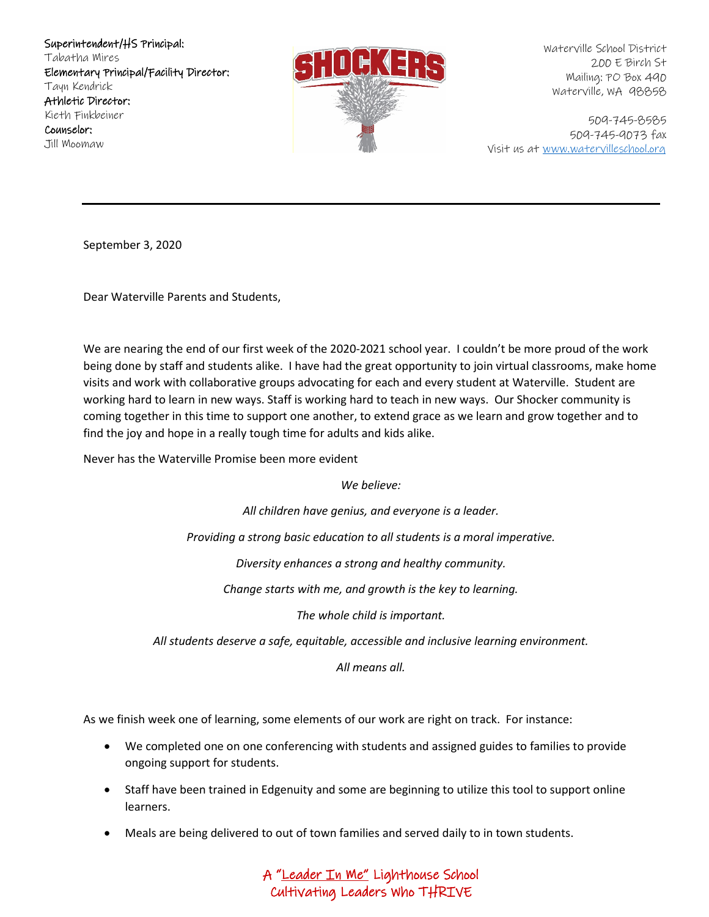

Waterville School District 200 E Birch St Mailing: PO Box 490 Waterville, WA 98858

509-745-8585 509-745-9073 fax Visit us at [www.watervilleschool.org](http://www.watervilleschool.org/)

September 3, 2020

Dear Waterville Parents and Students,

We are nearing the end of our first week of the 2020-2021 school year. I couldn't be more proud of the work being done by staff and students alike. I have had the great opportunity to join virtual classrooms, make home visits and work with collaborative groups advocating for each and every student at Waterville. Student are working hard to learn in new ways. Staff is working hard to teach in new ways. Our Shocker community is coming together in this time to support one another, to extend grace as we learn and grow together and to find the joy and hope in a really tough time for adults and kids alike.

Never has the Waterville Promise been more evident

*We believe:*

*All children have genius, and everyone is a leader.*

*Providing a strong basic education to all students is a moral imperative.*

*Diversity enhances a strong and healthy community.*

*Change starts with me, and growth is the key to learning.*

*The whole child is important.*

*All students deserve a safe, equitable, accessible and inclusive learning environment.*

*All means all.*

As we finish week one of learning, some elements of our work are right on track. For instance:

- We completed one on one conferencing with students and assigned guides to families to provide ongoing support for students.
- Staff have been trained in Edgenuity and some are beginning to utilize this tool to support online learners.
- Meals are being delivered to out of town families and served daily to in town students.

A "Leader In Me" Lighthouse School Cultivating Leaders Who THRIVE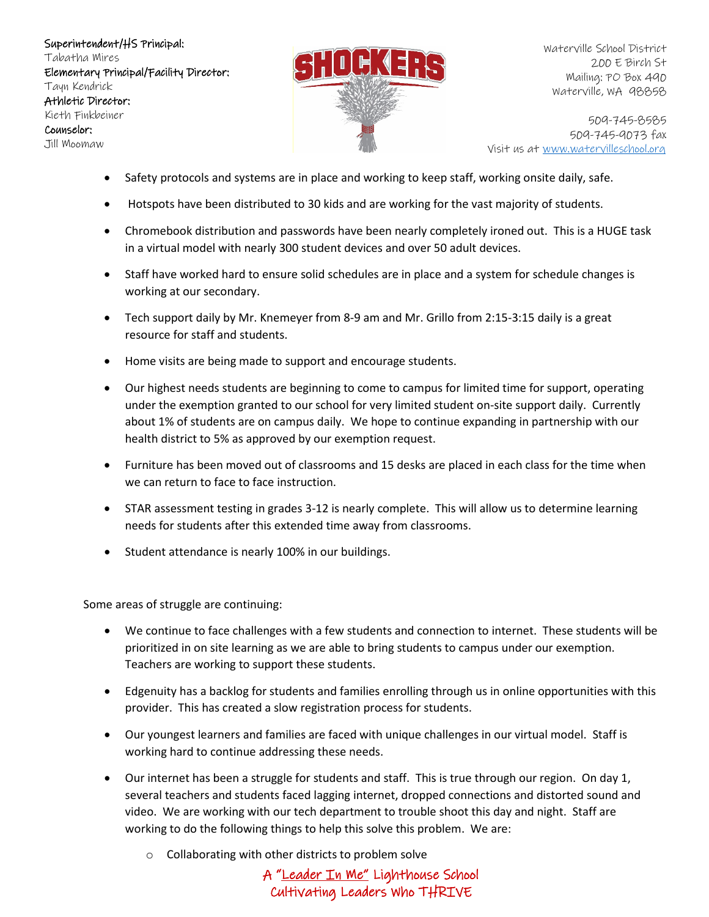

Waterville School District 200 E Birch St Mailing: PO Box 490 Waterville, WA 98858

509-745-8585 509-745-9073 fax Visit us at [www.watervilleschool.org](http://www.watervilleschool.org/)

- Safety protocols and systems are in place and working to keep staff, working onsite daily, safe.
- Hotspots have been distributed to 30 kids and are working for the vast majority of students.
- Chromebook distribution and passwords have been nearly completely ironed out. This is a HUGE task in a virtual model with nearly 300 student devices and over 50 adult devices.
- Staff have worked hard to ensure solid schedules are in place and a system for schedule changes is working at our secondary.
- Tech support daily by Mr. Knemeyer from 8-9 am and Mr. Grillo from 2:15-3:15 daily is a great resource for staff and students.
- Home visits are being made to support and encourage students.
- Our highest needs students are beginning to come to campus for limited time for support, operating under the exemption granted to our school for very limited student on-site support daily. Currently about 1% of students are on campus daily. We hope to continue expanding in partnership with our health district to 5% as approved by our exemption request.
- Furniture has been moved out of classrooms and 15 desks are placed in each class for the time when we can return to face to face instruction.
- STAR assessment testing in grades 3-12 is nearly complete. This will allow us to determine learning needs for students after this extended time away from classrooms.
- Student attendance is nearly 100% in our buildings.

Some areas of struggle are continuing:

- We continue to face challenges with a few students and connection to internet. These students will be prioritized in on site learning as we are able to bring students to campus under our exemption. Teachers are working to support these students.
- Edgenuity has a backlog for students and families enrolling through us in online opportunities with this provider. This has created a slow registration process for students.
- Our youngest learners and families are faced with unique challenges in our virtual model. Staff is working hard to continue addressing these needs.
- Our internet has been a struggle for students and staff. This is true through our region. On day 1, several teachers and students faced lagging internet, dropped connections and distorted sound and video. We are working with our tech department to trouble shoot this day and night. Staff are working to do the following things to help this solve this problem. We are:
	- o Collaborating with other districts to problem solve

A "Leader In Me" Lighthouse School Cultivating Leaders Who THRIVE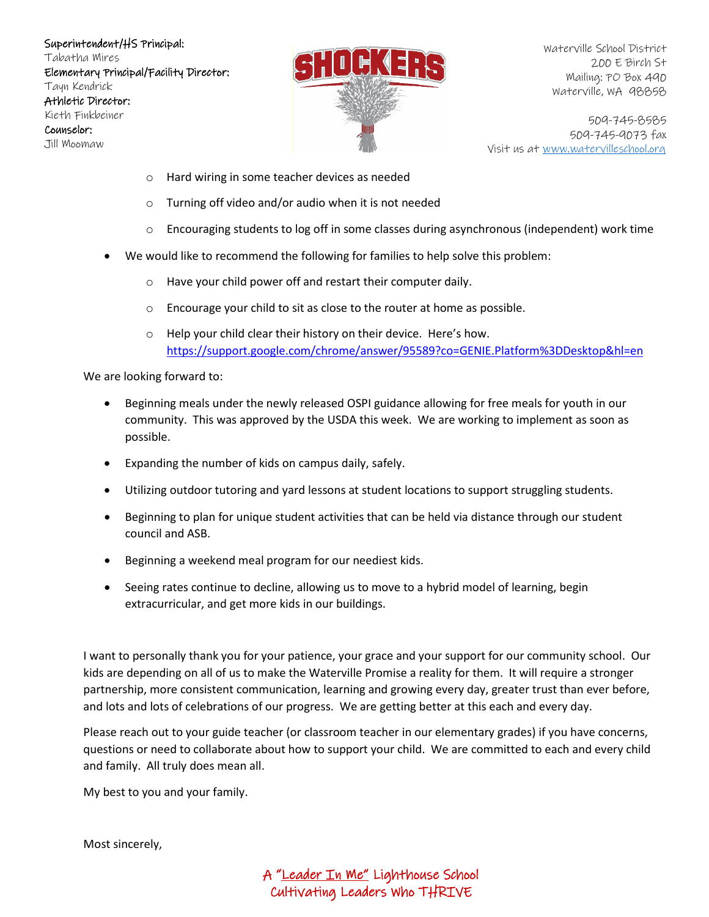

Waterville School District 200 E Birch St Mailing: PO Box 490 Waterville, WA 98858

509-745-8585 509-745-9073 fax Visit us at [www.watervilleschool.org](http://www.watervilleschool.org/)

- o Hard wiring in some teacher devices as needed
- o Turning off video and/or audio when it is not needed
- $\circ$  Encouraging students to log off in some classes during asynchronous (independent) work time
- We would like to recommend the following for families to help solve this problem:
	- o Have your child power off and restart their computer daily.
	- o Encourage your child to sit as close to the router at home as possible.
	- o Help your child clear their history on their device. Here's how. <https://support.google.com/chrome/answer/95589?co=GENIE.Platform%3DDesktop&hl=en>

We are looking forward to:

- Beginning meals under the newly released OSPI guidance allowing for free meals for youth in our community. This was approved by the USDA this week. We are working to implement as soon as possible.
- Expanding the number of kids on campus daily, safely.
- Utilizing outdoor tutoring and yard lessons at student locations to support struggling students.
- Beginning to plan for unique student activities that can be held via distance through our student council and ASB.
- Beginning a weekend meal program for our neediest kids.
- Seeing rates continue to decline, allowing us to move to a hybrid model of learning, begin extracurricular, and get more kids in our buildings.

I want to personally thank you for your patience, your grace and your support for our community school. Our kids are depending on all of us to make the Waterville Promise a reality for them. It will require a stronger partnership, more consistent communication, learning and growing every day, greater trust than ever before, and lots and lots of celebrations of our progress. We are getting better at this each and every day.

Please reach out to your guide teacher (or classroom teacher in our elementary grades) if you have concerns, questions or need to collaborate about how to support your child. We are committed to each and every child and family. All truly does mean all.

My best to you and your family.

Most sincerely,

A "Leader In Me" Lighthouse School Cultivating Leaders Who THRIVE